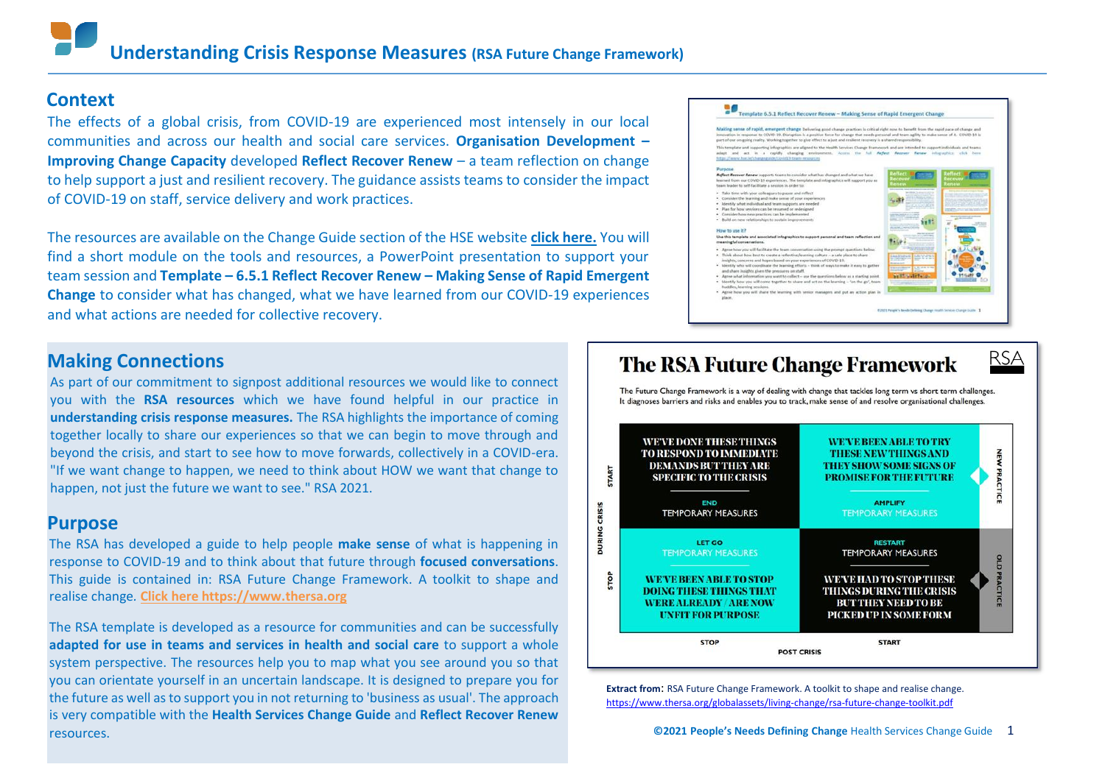### **Context**

The effects of a global crisis, from COVID-19 are experienced most intensely in our local communities and across our health and social care services. **Organisation Development – Improving Change Capacity** developed **Reflect Recover Renew** – a team reflection on change to help support a just and resilient recovery. The guidance assists teams to consider the impact of COVID-19 on staff, service delivery and work practices.

The resources are available on the Change Guide section of the HSE website **click [here.](https://www.hse.ie/eng/staff/resources/changeguide/covid19-team-resources/)** You will find a short module on the tools and resources, a PowerPoint presentation to support your team session and **Template – 6.5.1 Reflect Recover Renew – Making Sense of Rapid Emergent Change** to consider what has changed, what we have learned from our COVID-19 experiences and what actions are needed for collective recovery.

### **Making Connections**

As part of our commitment to signpost additional resources we would like to connect you with the **RSA resources** which we have found helpful in our practice in **understanding crisis response measures.** The RSA highlights the importance of coming together locally to share our experiences so that we can begin to move through and beyond the crisis, and start to see how to move forwards, collectively in a COVID-era. "If we want change to happen, we need to think about HOW we want that change to happen, not just the future we want to see." RSA 2021.

### **Purpose**

The RSA has developed a guide to help people **make sense** of what is happening in response to COVID-19 and to think about that future through **focused conversations**. This guide is contained in: RSA Future Change Framework. A toolkit to shape and realise change*.* **Click here [https://www.thersa.org](https://www.thersa.org/globalassets/living-change/rsa-future-change-toolkit.pdf)**

The RSA template is developed as a resource for communities and can be successfully **adapted for use in teams and services in health and social care** to support a whole system perspective. The resources help you to map what you see around you so that you can orientate yourself in an uncertain landscape. It is designed to prepare you for the future as well as to support you in not returning to 'business as usual'. The approach is very compatible with the **Health Services Change Guide** and **Reflect Recover Renew** resources.

### Template 6.5.1 Reflect Recover Renew - Making Sense of Rapid Emergent Change Making sense of rapid, emergent change Deliveing anod change practices is critical right now to benefit from the r art of our on-going reality. Working together to give effect to a just and re .<br>No template and supporting infographics are aligned to the Nealth Services Change Frame<br>dapt and act in a rapidly changing environment, Access the full work and are intended to ment. Account the full Reflect Res arned from our COVID-19 experiences. The template and infograph<br>ram leader to self-facilitate a session in order to: sider the learning and make sense of your a ntily what individual and team supports an Mouse for some let ne have you will facilit and share insights given the pressures an staff.<br>Agree what information you want to collect – use the questions below as a starting point<br>Identify how you will come together to share and act on the learning – 'on the go',



**Extract from**: RSA Future Change Framework. A toolkit to shape and realise change. <https://www.thersa.org/globalassets/living-change/rsa-future-change-toolkit.pdf>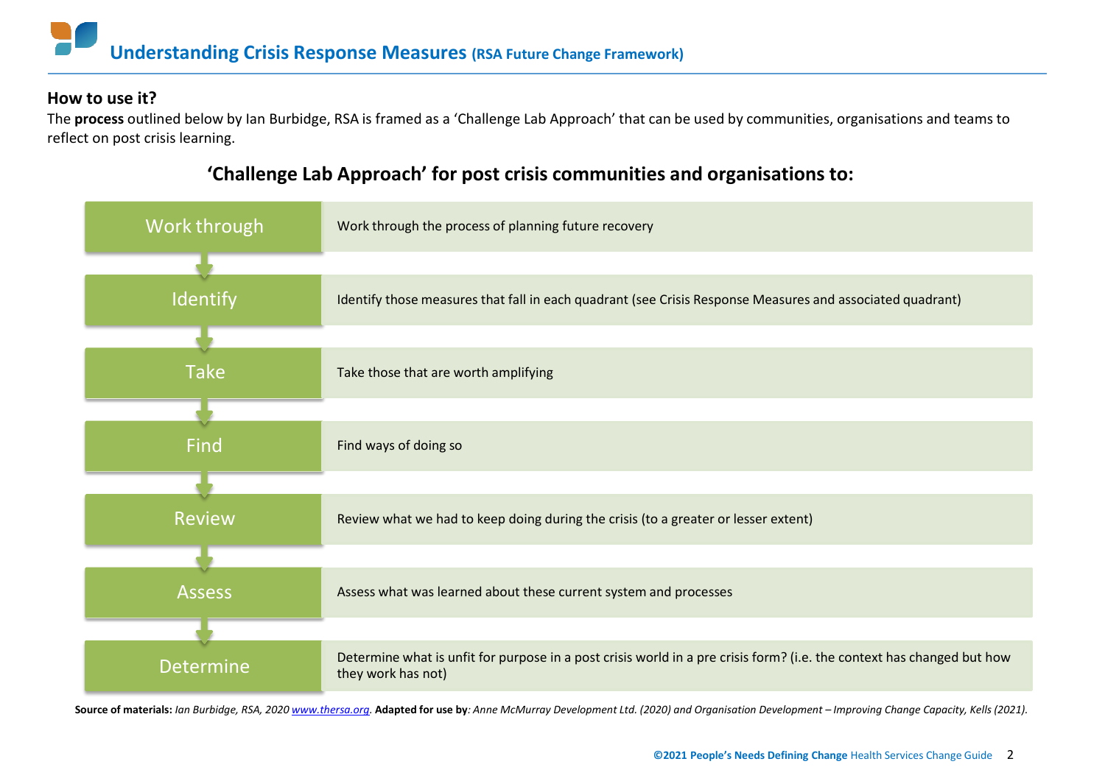### **How to use it?**

The **process** outlined below by Ian Burbidge, RSA is framed as a 'Challenge Lab Approach' that can be used by communities, organisations and teams to reflect on post crisis learning.

# Work through Identify Take Find **Review** Assess Determine what is unfit for purpose in a post crisis world in a pre crisis form? (i.e. the context has changed but how<br>they work hes not) they work has not) Assess what was learned about these current system and processes Review what we had to keep doing during the crisis (to a greater or lesser extent) Find ways of doing so Take those that are worth amplifying Identify those measures that fall in each quadrant (see Crisis Response Measures and associated quadrant) Work through the process of planning future recovery

# **'Challenge Lab Approach' for post crisis communities and organisations to:**

Source of materials: Ian Burbidge, RSA, 2020 [www.thersa.org.](http://www.thersa.org/) Adapted for use by: Anne McMurray Development Ltd. (2020) and Organisation Development - Improving Change Capacity, Kells (2021).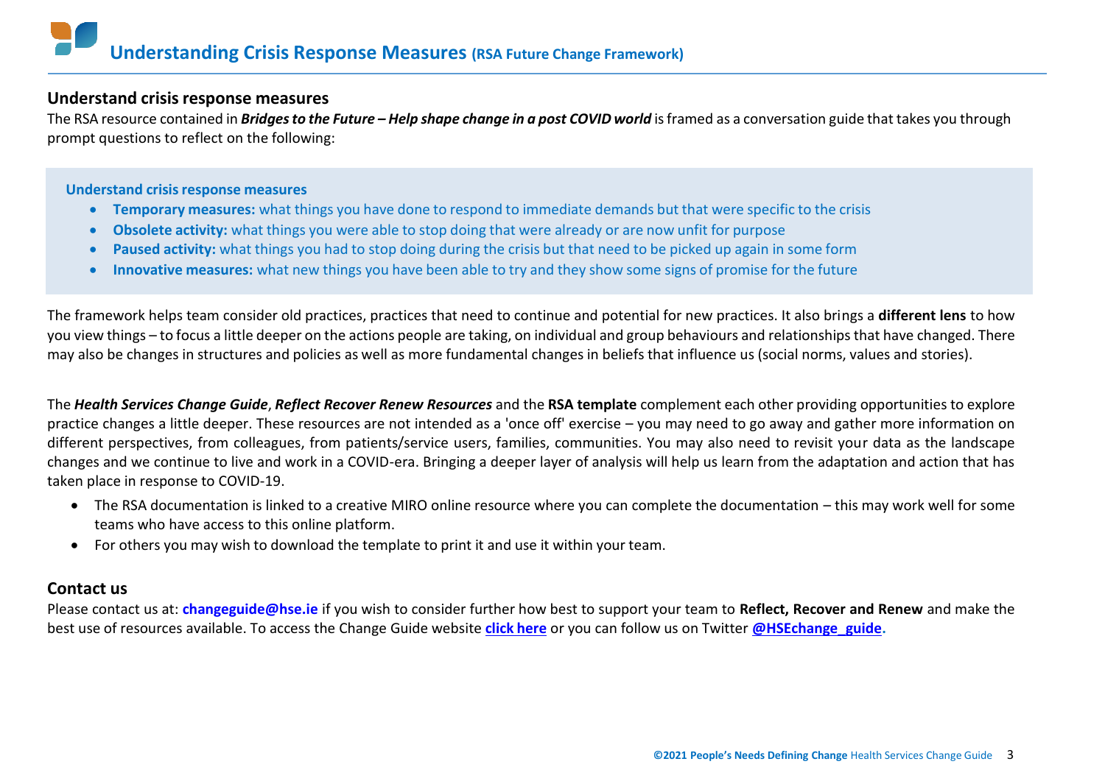### **Understand crisisresponse measures**

The RSA resource contained in *Bridges to the Future – Help shape change in a post COVID world* is framed as a conversation guide that takes you through prompt questions to reflect on the following:

### **Understand crisisresponse measures**

- **Temporary measures:** what things you have done to respond to immediate demands but that were specific to the crisis
- **Obsolete activity:** what things you were able to stop doing that were already or are now unfit for purpose
- **Paused activity:** what things you had to stop doing during the crisis but that need to be picked up again in some form
- **Innovative measures:** what new things you have been able to try and they show some signs of promise for the future

The framework helps team consider old practices, practices that need to continue and potential for new practices. It also brings a **different lens** to how you view things – to focus a little deeper on the actions people are taking, on individual and group behaviours and relationshipsthat have changed. There may also be changes in structures and policies as well as more fundamental changes in beliefs that influence us (social norms, values and stories).

The *Health Services Change Guide*, *Reflect Recover Renew Resources* and the **RSA template** complement each other providing opportunities to explore practice changes a little deeper. These resources are not intended as a 'once off' exercise – you may need to go away and gather more information on different perspectives, from colleagues, from patients/service users, families, communities. You may also need to revisit your data as the landscape changes and we continue to live and work in a COVID-era. Bringing a deeper layer of analysis will help us learn from the adaptation and action that has taken place in response to COVID-19.

- The RSA documentation is linked to a creative MIRO online resource where you can complete the documentation this may work well for some teams who have access to this online platform.
- For others you may wish to download the template to print it and use it within your team.

## **Contact us**

Please contact us at: **[changeguide@hse.ie](mailto:changeguide@hse.ie)** if you wish to consider further how best to support your team to **Reflect, Recover and Renew** and make the best use of resources available. To access the Change Guide website **click [here](https://www.hse.ie/eng/staff/resources/changeguide/covid19-team-resources/)** or you can follow us on Twitter **[@HSEchange\\_guide.](https://twitter.com/hsechange_guide?lang=en)**